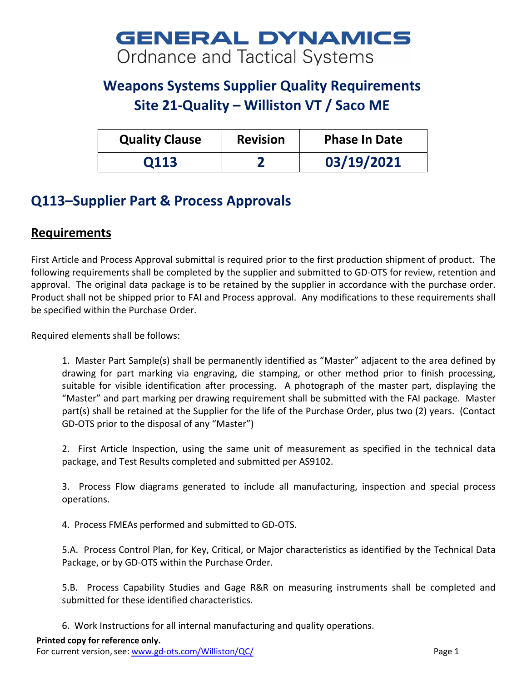## **GENERAL DYNAMICS** Ordnance and Tactical Systems

## **Weapons Systems Supplier Quality Requirements Site 21‐Quality – Williston VT / Saco ME**

| <b>Quality Clause</b> | <b>Revision</b> | <b>Phase In Date</b> |
|-----------------------|-----------------|----------------------|
| 0113                  |                 | 03/19/2021           |

## **Q113–Supplier Part & Process Approvals**

## **Requirements**

First Article and Process Approval submittal is required prior to the first production shipment of product. The following requirements shall be completed by the supplier and submitted to GD‐OTS for review, retention and approval. The original data package is to be retained by the supplier in accordance with the purchase order. Product shall not be shipped prior to FAI and Process approval. Any modifications to these requirements shall be specified within the Purchase Order.

Required elements shall be follows:

1. Master Part Sample(s) shall be permanently identified as "Master" adjacent to the area defined by drawing for part marking via engraving, die stamping, or other method prior to finish processing, suitable for visible identification after processing. A photograph of the master part, displaying the "Master" and part marking per drawing requirement shall be submitted with the FAI package. Master part(s) shall be retained at the Supplier for the life of the Purchase Order, plus two (2) years. (Contact GD‐OTS prior to the disposal of any "Master")

2. First Article Inspection, using the same unit of measurement as specified in the technical data package, and Test Results completed and submitted per AS9102.

3. Process Flow diagrams generated to include all manufacturing, inspection and special process operations.

4. Process FMEAs performed and submitted to GD‐OTS.

5.A. Process Control Plan, for Key, Critical, or Major characteristics as identified by the Technical Data Package, or by GD‐OTS within the Purchase Order.

5.B. Process Capability Studies and Gage R&R on measuring instruments shall be completed and submitted for these identified characteristics.

6. Work Instructions for all internal manufacturing and quality operations.